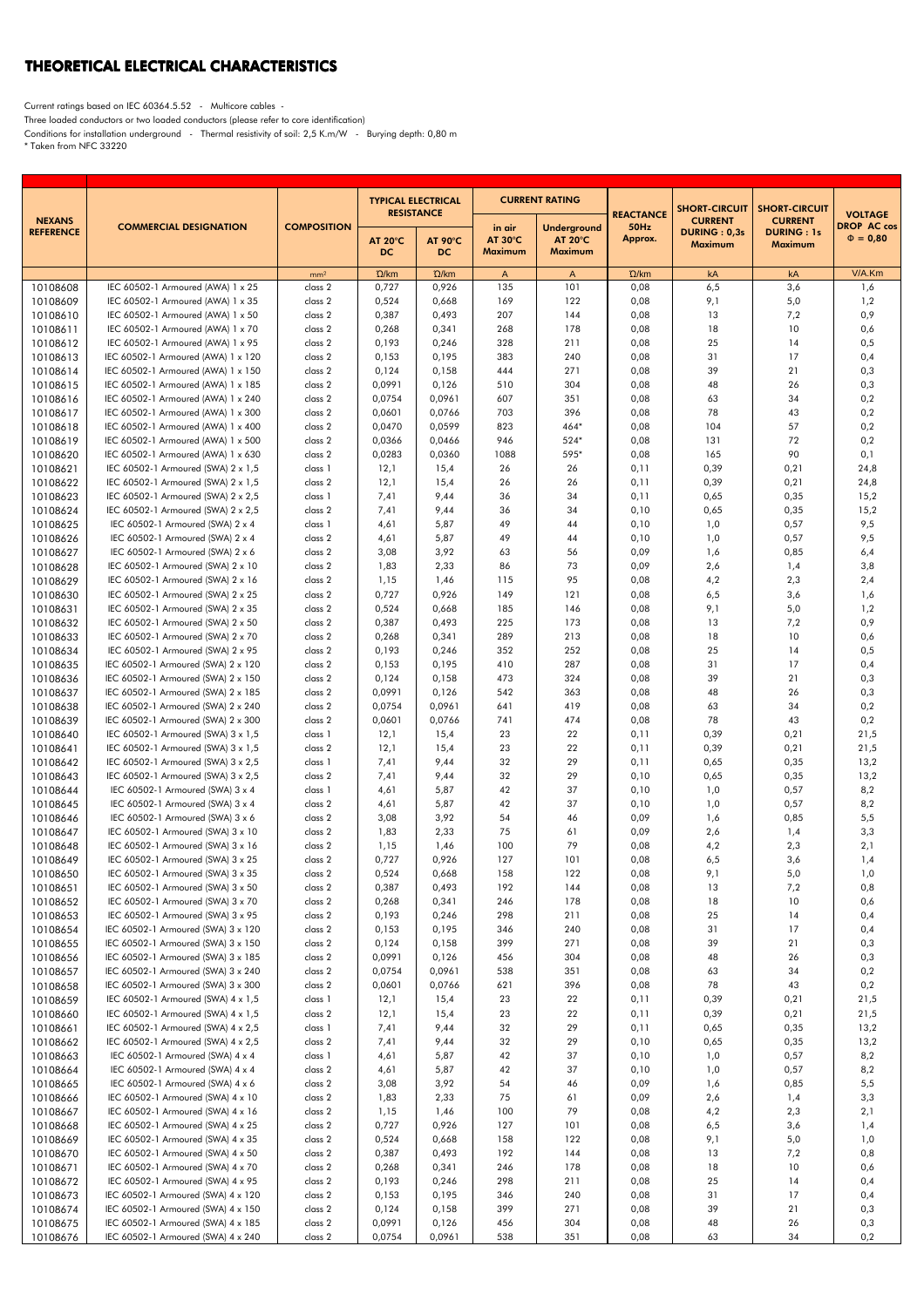## THEORETICAL ELECTRICAL CHARACTERISTICS

Current ratings based on IEC 60364.5.52 - Multicore cables -

Three loaded conductors or two loaded conductors (please refer to core identification)

Conditions for installation underground - Thermal resistivity of soil: 2,5 K.m/W - Burying depth: 0,80 m \* Taken from NFC 33220

|                                   |                                    |                    | <b>TYPICAL ELECTRICAL</b>           |                | <b>CURRENT RATING</b>    |                                  |                                     | <b>SHORT-CIRCUIT</b>           | <b>SHORT-CIRCUIT</b>                |                                                       |
|-----------------------------------|------------------------------------|--------------------|-------------------------------------|----------------|--------------------------|----------------------------------|-------------------------------------|--------------------------------|-------------------------------------|-------------------------------------------------------|
| <b>NEXANS</b><br><b>REFERENCE</b> | <b>COMMERCIAL DESIGNATION</b>      | <b>COMPOSITION</b> | <b>RESISTANCE</b><br><b>AT 20°C</b> | <b>AT 90°C</b> | in air<br><b>AT 30°C</b> | Underground<br>AT $20^{\circ}$ C | <b>REACTANCE</b><br>50Hz<br>Approx. | <b>CURRENT</b><br>DURING: 0,3s | <b>CURRENT</b><br><b>DURING: 1s</b> | <b>VOLTAGE</b><br><b>DROP AC cos</b><br>$\Phi = 0,80$ |
|                                   |                                    |                    | DC.                                 | DC.            | Maximum                  | <b>Maximum</b>                   |                                     | Maximum                        | <b>Maximum</b>                      |                                                       |
|                                   |                                    | mm <sup>2</sup>    | $\Omega$ /km                        | $\Omega$ /km   | Α                        | $\mathsf{A}$                     | $\Omega$ /km                        | kA                             | kA                                  | V/A.Km                                                |
| 10108608                          | IEC 60502-1 Armoured (AWA) 1 x 25  | class 2            | 0,727                               | 0,926          | 135                      | 101                              | 0,08                                | 6,5                            | 3,6                                 | 1,6                                                   |
| 10108609                          | IEC 60502-1 Armoured (AWA) 1 x 35  | class 2            | 0,524                               | 0,668          | 169                      | 122                              | 0,08                                | 9,1                            | 5,0                                 | 1,2                                                   |
| 10108610                          | IEC 60502-1 Armoured (AWA) 1 x 50  | class 2            | 0,387                               | 0,493          | 207                      | 144                              | 0,08                                | 13                             | 7,2                                 | 0,9                                                   |
| 10108611                          | IEC 60502-1 Armoured (AWA) 1 x 70  | class 2            | 0,268                               | 0,341          | 268                      | 178                              | 0,08                                | 18                             | 10                                  | 0,6                                                   |
| 10108612                          | IEC 60502-1 Armoured (AWA) 1 x 95  | class 2            | 0,193                               | 0,246          | 328                      | 211                              | 0,08                                | 25                             | 14                                  | 0,5                                                   |
| 10108613                          | IEC 60502-1 Armoured (AWA) 1 x 120 | class 2            | 0,153                               | 0,195          | 383                      | 240                              | 0,08                                | 31                             | 17                                  | 0,4                                                   |
| 10108614                          | IEC 60502-1 Armoured (AWA) 1 x 150 | class 2            | 0,124                               | 0,158          | 444                      | 271                              | 0,08                                | 39                             | 21                                  | 0,3                                                   |
| 10108615                          | IEC 60502-1 Armoured (AWA) 1 x 185 | class 2            | 0,0991                              | 0,126          | 510                      | 304                              | 0,08                                | 48                             | 26                                  | 0,3                                                   |
| 10108616                          | IEC 60502-1 Armoured (AWA) 1 x 240 | class 2            | 0,0754                              | 0,0961         | 607                      | 351                              | 0,08                                | 63                             | 34                                  | 0,2                                                   |
| 10108617                          | IEC 60502-1 Armoured (AWA) 1 x 300 | class 2            | 0,0601                              | 0,0766         | 703                      | 396                              | 0,08                                | 78                             | 43                                  | 0,2                                                   |
| 10108618                          | IEC 60502-1 Armoured (AWA) 1 x 400 | class 2            | 0,0470                              | 0,0599         | 823                      | $464*$                           | 0,08                                | 104                            | 57                                  | 0,2                                                   |
| 10108619                          | IEC 60502-1 Armoured (AWA) 1 x 500 | class 2            | 0,0366                              | 0,0466         | 946                      | $524*$                           | 0,08                                | 131                            | 72                                  | 0,2                                                   |
| 10108620                          | IEC 60502-1 Armoured (AWA) 1 x 630 | class 2            | 0,0283                              | 0,0360         | 1088                     | 595*                             | 0,08                                | 165                            | 90                                  | 0,1                                                   |
| 10108621                          | IEC 60502-1 Armoured (SWA) 2 x 1,5 | class 1            | 12,1                                | 15,4           | 26                       | 26                               | 0,11                                | 0,39                           | 0,21                                | 24,8                                                  |
| 10108622                          | IEC 60502-1 Armoured (SWA) 2 x 1,5 | class 2            | 12,1                                | 15,4           | 26                       | 26                               | 0,11                                | 0,39                           | 0,21                                | 24,8                                                  |
| 10108623                          | IEC 60502-1 Armoured (SWA) 2 x 2,5 | class 1            | 7,41                                | 9,44           | 36                       | 34                               | 0,11                                | 0,65                           | 0,35                                | 15,2                                                  |
| 10108624                          | IEC 60502-1 Armoured (SWA) 2 x 2,5 | class 2            | 7,41                                | 9,44           | 36                       | 34                               | 0,10                                | 0,65                           | 0,35                                | 15,2                                                  |
| 10108625                          | IEC 60502-1 Armoured (SWA) 2 x 4   | class 1            | 4,61                                | 5,87           | 49                       | 44                               | 0,10                                | 1,0                            | 0,57                                | 9,5                                                   |
| 10108626                          | IEC 60502-1 Armoured (SWA) 2 x 4   | class 2            | 4,61                                | 5,87           | 49                       | 44                               | 0,10                                | 1,0                            | 0,57                                | 9,5                                                   |
| 10108627                          | IEC 60502-1 Armoured (SWA) 2 x 6   | class 2            | 3,08                                | 3,92           | 63                       | 56                               | 0,09                                | 1,6                            | 0,85                                | 6,4                                                   |
| 10108628                          | IEC 60502-1 Armoured (SWA) 2 x 10  | class 2            | 1,83                                | 2,33           | 86                       | 73                               | 0,09                                | 2,6                            | 1,4                                 | 3,8                                                   |
| 10108629                          | IEC 60502-1 Armoured (SWA) 2 x 16  | class 2            | 1,15                                | 1,46           | 115                      | 95                               | 0,08                                | 4,2                            | 2,3                                 | 2,4                                                   |
| 10108630                          | IEC 60502-1 Armoured (SWA) 2 x 25  | class 2            | 0,727                               | 0,926          | 149                      | 121                              | 0,08                                | 6,5                            | 3,6                                 | 1,6                                                   |
| 10108631                          | IEC 60502-1 Armoured (SWA) 2 x 35  | class 2            | 0,524                               | 0,668          | 185                      | 146                              | 0,08                                | 9,1                            | 5,0                                 | 1,2                                                   |
| 10108632                          | IEC 60502-1 Armoured (SWA) 2 x 50  | class 2            | 0,387                               | 0,493          | 225                      | 173                              | 0,08                                | 13                             | 7,2                                 | 0,9                                                   |
| 10108633                          | IEC 60502-1 Armoured (SWA) 2 x 70  | class 2            | 0,268                               | 0,341          | 289                      | 213                              | 0,08                                | 18                             | 10                                  | 0,6                                                   |
| 10108634                          | IEC 60502-1 Armoured (SWA) 2 x 95  | class 2            | 0,193                               | 0,246          | 352                      | 252                              | 0,08                                | 25                             | 14                                  | 0,5                                                   |
| 10108635                          | IEC 60502-1 Armoured (SWA) 2 x 120 | class 2            | 0,153                               | 0,195          | 410                      | 287                              | 0,08                                | 31                             | 17                                  | 0,4                                                   |
| 10108636                          | IEC 60502-1 Armoured (SWA) 2 x 150 | class 2            | 0,124                               | 0,158          | 473                      | 324                              | 0,08                                | 39                             | 21                                  | 0,3                                                   |
| 10108637                          | IEC 60502-1 Armoured (SWA) 2 x 185 | class 2            | 0,0991                              | 0,126          | 542                      | 363                              | 0,08                                | 48                             | 26                                  | 0,3                                                   |
| 10108638                          | IEC 60502-1 Armoured (SWA) 2 x 240 | class 2            | 0,0754                              | 0,0961         | 641                      | 419                              | 0,08                                | 63                             | 34                                  | 0,2                                                   |
| 10108639                          | IEC 60502-1 Armoured (SWA) 2 x 300 | class 2            | 0,0601                              | 0,0766         | 741                      | 474                              | 0,08                                | 78                             | 43                                  | 0,2                                                   |
| 10108640                          | IEC 60502-1 Armoured (SWA) 3 x 1,5 | class 1            | 12,1                                | 15,4           | 23                       | 22                               | 0,11                                | 0,39                           | 0,21                                | 21,5                                                  |
| 10108641                          | IEC 60502-1 Armoured (SWA) 3 x 1,5 | class 2            | 12,1                                | 15,4           | 23                       | 22                               | 0,11                                | 0,39                           | 0,21                                | 21,5                                                  |
| 10108642                          | IEC 60502-1 Armoured (SWA) 3 x 2,5 | class 1            | 7,41                                | 9,44           | 32                       | 29                               | 0,11                                | 0,65                           | 0,35                                | 13,2                                                  |
| 10108643                          | IEC 60502-1 Armoured (SWA) 3 x 2,5 | class 2            | 7,41                                | 9,44           | 32                       | 29                               | 0,10                                | 0,65                           | 0,35                                | 13,2                                                  |
| 10108644                          | IEC 60502-1 Armoured (SWA) 3 x 4   | class 1            | 4,61                                | 5,87           | 42                       | 37                               | 0,10                                | 1,0                            | 0,57                                | 8,2                                                   |
| 10108645                          | IEC 60502-1 Armoured (SWA) 3 x 4   | class 2            | 4,61                                | 5,87           | 42                       | 37                               | 0,10                                | 1,0                            | 0,57                                | 8,2                                                   |
| 10108646                          | IEC 60502-1 Armoured (SWA) 3 x 6   | class 2            | 3,08                                | 3,92           | 54                       | 46                               | 0,09                                | 1,6                            | 0,85                                | 5,5                                                   |
| 10108647                          | IEC 60502-1 Armoured (SWA) 3 x 10  | class 2            | 1,83                                | 2,33           | 75                       | 61                               | 0,09                                | 2,6                            | 1,4                                 | 3,3                                                   |
| 10108648                          | IEC 60502-1 Armoured (SWA) 3 x 16  | class 2            | 1,15                                | 1,46           | 100                      | 79                               | 0,08                                | 4,2                            | 2,3                                 | 2,1                                                   |
| 10108649                          | IEC 60502-1 Armoured (SWA) 3 x 25  | class 2            | 0,727                               | 0,926          | 127                      | 101                              | 0,08                                | 6,5                            | 3,6                                 | 1,4                                                   |
| 10108650                          | IEC 60502-1 Armoured (SWA) 3 x 35  | class 2            | 0,524                               | 0,668          | 158                      | 122                              | 0,08                                | 9,1                            | 5,0                                 | 1,0                                                   |
| 10108651                          | IEC 60502-1 Armoured (SWA) 3 x 50  | class 2            | 0,387                               | 0,493          | 192                      | 144                              | 0,08                                | 13                             | 7,2                                 | 0,8                                                   |
| 10108652                          | IEC 60502-1 Armoured (SWA) 3 x 70  | class 2            | 0,268                               | 0,341          | 246                      | 178                              | 0,08                                | 18                             | 10                                  | 0,6                                                   |
| 10108653                          | IEC 60502-1 Armoured (SWA) 3 x 95  | class 2            | 0,193                               | 0,246          | 298                      | 211                              | 0,08                                | 25                             | 14                                  | 0,4                                                   |
| 10108654                          | IEC 60502-1 Armoured (SWA) 3 x 120 | class 2            | 0,153                               | 0,195          | 346                      | 240                              | 0,08                                | 31                             | 17                                  | 0,4                                                   |
| 10108655                          | IEC 60502-1 Armoured (SWA) 3 x 150 | class 2            | 0,124                               | 0,158          | 399                      | 271                              | 0,08                                | 39                             | 21                                  | 0,3                                                   |
| 10108656                          | IEC 60502-1 Armoured (SWA) 3 x 185 | class 2            | 0,0991                              | 0,126          | 456                      | 304                              | 0,08                                | 48                             | 26                                  | 0,3                                                   |
| 10108657                          | IEC 60502-1 Armoured (SWA) 3 x 240 | class 2            | 0,0754                              | 0,0961         | 538                      | 351                              | 0,08                                | 63                             | 34                                  | 0,2                                                   |
| 10108658                          | IEC 60502-1 Armoured (SWA) 3 x 300 | class 2            | 0,0601                              | 0,0766         | 621                      | 396                              | 0,08                                | 78                             | 43                                  | 0,2                                                   |
| 10108659                          | IEC 60502-1 Armoured (SWA) 4 x 1,5 | class 1            | 12,1                                | 15,4           | 23                       | 22                               | 0,11                                | 0,39                           | 0,21                                | 21,5                                                  |
| 10108660                          | IEC 60502-1 Armoured (SWA) 4 x 1,5 | class 2            | 12,1                                | 15,4           | 23                       | 22                               | 0,11                                | 0,39                           | 0,21                                | 21,5                                                  |
| 10108661                          | IEC 60502-1 Armoured (SWA) 4 x 2,5 | class 1            | 7,41                                | 9,44           | 32                       | 29                               | 0,11                                | 0,65                           | 0,35                                | 13,2                                                  |
| 10108662                          | IEC 60502-1 Armoured (SWA) 4 x 2,5 | class 2            | 7,41                                | 9,44           | 32                       | 29                               | 0,10                                | 0,65                           | 0,35                                | 13,2                                                  |
| 10108663                          | IEC 60502-1 Armoured (SWA) 4 x 4   | class 1            | 4,61                                | 5,87           | 42                       | 37                               | 0,10                                | 1,0                            | 0,57                                | 8,2                                                   |
| 10108664                          | IEC 60502-1 Armoured (SWA) 4 x 4   | class 2            | 4,61                                | 5,87           | 42                       | 37                               | 0,10                                | 1,0                            | 0,57                                | 8,2                                                   |
| 10108665                          | IEC 60502-1 Armoured (SWA) 4 x 6   | class 2            | 3,08                                | 3,92           | 54                       | 46                               | 0,09                                | 1,6                            | 0,85                                | 5,5                                                   |
| 10108666                          | IEC 60502-1 Armoured (SWA) 4 x 10  | class 2            | 1,83                                | 2,33           | 75                       | 61                               | 0,09                                | 2,6                            | 1,4                                 | 3,3                                                   |
| 10108667                          | IEC 60502-1 Armoured (SWA) 4 x 16  | class 2            | 1,15                                | 1,46           | 100                      | 79                               | 0,08                                | 4,2                            | 2,3                                 | 2,1                                                   |
| 10108668                          | IEC 60502-1 Armoured (SWA) 4 x 25  | class 2            | 0,727                               | 0,926          | 127                      | 101                              | 0,08                                | 6,5                            | 3,6                                 | 1,4                                                   |
| 10108669                          | IEC 60502-1 Armoured (SWA) 4 x 35  | class 2            | 0,524                               | 0,668          | 158                      | 122                              | 0,08                                | 9,1                            | 5,0                                 | 1,0                                                   |
| 10108670                          | IEC 60502-1 Armoured (SWA) 4 x 50  | class 2            | 0,387                               | 0,493          | 192                      | 144                              | 0,08                                | 13                             | 7,2                                 | 0,8                                                   |
| 10108671                          | IEC 60502-1 Armoured (SWA) 4 x 70  | class 2            | 0,268                               | 0,341          | 246                      | 178                              | 0,08                                | 18                             | 10                                  | 0,6                                                   |
| 10108672                          | IEC 60502-1 Armoured (SWA) 4 x 95  | class 2            | 0,193                               | 0,246          | 298                      | 211                              | 0,08                                | 25                             | 14                                  | 0,4                                                   |
| 10108673                          | IEC 60502-1 Armoured (SWA) 4 x 120 | class 2            | 0,153                               | 0,195          | 346                      | 240                              | 0,08                                | 31                             | 17                                  | 0,4                                                   |
| 10108674                          | IEC 60502-1 Armoured (SWA) 4 x 150 | class 2            | 0,124                               | 0,158          | 399                      | 271                              | 0,08                                | 39                             | 21                                  | 0,3                                                   |
| 10108675                          | IEC 60502-1 Armoured (SWA) 4 x 185 | class 2            | 0,0991                              | 0,126          | 456                      | 304                              | 0,08                                | 48                             | 26                                  | 0,3                                                   |
| 10108676                          | IEC 60502-1 Armoured (SWA) 4 x 240 | class 2            | 0,0754                              | 0,0961         | 538                      | 351                              | 0,08                                | 63                             | 34                                  | 0,2                                                   |